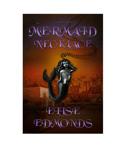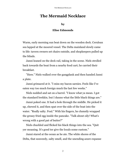## The Mermaid Necklace

## by

## Elise Edmonds

Warm, early morning sun beat down on the wooden deck. Cerulean sea lapped at the moored vessel. The Delta mainland slowly came to life: tavern owners set chairs outside, and shopkeepers pulled up the blinds.

Janni leaned on the deck rail, taking in the scene. Niels strolled back towards the boat from a nearby food cart; he carried their breakfast.

"Here." Niels walked over the gangplank and then handed Janni a plate.

Janni grimaced at it. "I miss my bacon sarnies. Feels like I've eaten way too much foreign muck the last few weeks."

Niels nodded and sat on a barrel. "I know what ya mean. I got the standard brekkie, but I dunno what the little black things are."

Janni poked one. It had a hole through the middle. He picked it up, chewed it, and then spat over the side of the boat into the water. "Really salty. Foul." With his fingers, he clumsily wrapped the greasy fried egg inside the pancake. "Talk about oily! What's wrong with a good pat of butter?"

Niels chuckled and flicked his black things into the sea. "Quit yer moaning. It's good ter give the locals some custom."

Janni stared at the ocean as he ate. The white shores of the Delta, that seaweedy, salty smell, and the unending azure expanse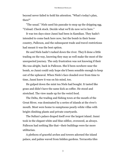beyond never failed to hold his attention. "What's today's plan, then?"

"The usual." Niels used his pancake to mop up the dripping egg. "Unload. Check stock. Decide what we'll do now we're here."

It was ten days since Janni had been in Kamikan. They hadn't intended to come back here now, but the bomb in their home country, Pallexon, and the subsequent trade and travel restrictions had meant it was the best option.

He and Niels hadn't rushed down the river. They'd done a little trading on the way, knowing they may as well make the most of the unexpected journey. The only frustration was not knowing if their Ma was alright, back in Pallexon. She'd been nowhere near the bomb, so Janni could only hope she'd been sensible enough to keep out of the upheaval. When Niels's face clouded over from time to time, Janni knew it was on his mind, too.

He gulped down the mint tea Niels had bought. It tasted like grass and didn't have the same kick as coffee. He stood and stretched. The view made up for the weird food.

The Delta, the trading and fishing town at the mouth of the Great River, was dominated by a series of islands at the river's mouth. Most were home to sumptuous pearly-white villas with bright climbing plants and private courtyards.

The Sultan's palace draped itself over the largest island. Janni took in the elegant white and blue edifice, overawed, as always. Pallexon had nothing like that—their buildings were far more utilitarian.

A plethora of graceful arches and towers adorned the island palace, and palms waved from hidden gardens. Terracotta tiles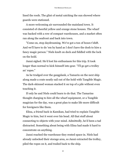lined the roofs. The glint of metal catching the sun showed where guards were stationed.

A more welcoming air surrounded the mainland town. It consisted of cheerful yellow and orange stone houses. The wharf was backed with a row of compact warehouses, and a market often ran along the seafront and back into town.

"Come on, stop daydreaming. We've got a ton of boxes t'shift. And we'll have to do 'em by hand as I don't have the dosh to hire a fancy magic person." Niels knelt on deck and fiddled with the lock on the hold.

Janni sighed. He'd lost his enthusiasm for this trip. It took longer than normal to kick himself into gear. "I'll go get a trolley an' ropes."

As he trudged over the gangplank, a Tamarin on the next ship along made a crate neatly sail out of the hold with Tangible Magic. The dark-skinned woman stacked it on top of a pile without even touching it.

If only he and Niels could learn to do that. The Tamarins thought charging to hire all the wharf equipment, or a Tangible magician for the day, was a great plan to make life more difficult for foreigners like them.

Elina, a friend back in Kamikan, had tried to explain Tangible Magic to him, but it went over his head. All that stuff about connecting to objects with your mind. Admittedly, he'd been a tad distracted. Something about being with Elina had made it hard to concentrate on anything.

Janni reached the warehouse they rented space in. Niels had already unlocked their storage area, so Janni extracted the trolley, piled the ropes on it, and trailed back to the ship.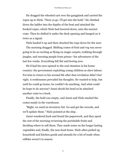He dragged the wheeled cart over the gangplank and carried the ropes up to Niels. "Here ya go. I'll get into the hold." He climbed down the ladder into the depths of the boat and attached the hooked ropes, which Niels had lowered down, onto the nearest crate. Then he shifted it under the deck opening and banged on it twice as a signal.

Niels hauled it up and then chucked the rope down for the next.

The morning dragged. Shifting crates of fruit and veg was never going to be as exciting as flying on magic carpets, trekking through jungles, and rescuing people from prison—his adventures of the last few weeks. Everything felt flat and boring now.

He'd had his eyes opened to the real situation in his home country: the government exploiting young children as slave labour. For him to return to his normal life after that revelation didn't feel right. A restlessness pervaded his thoughts. He wanted to help, but until he could go home, he couldn't do anything. And what could he hope to do anyway? Janni shook his head as he attached another crate to a hook.

Finally, the hold was empty, and Janni and Niels stacked the crates neatly in the warehouse.

"Right, we need an inventory list. Go and get the records, and we'll update them." Niels pointed at the ship.

Janni wandered back and found the paperwork, and they spent the rest of the morning reviewing the perishable fruits and deciding where to sell them. They made notes on the longer lasting vegetables and, finally, the non-food items. Niels often picked up household and kitchen goods and utensils for a bit of trade when edibles weren't in season.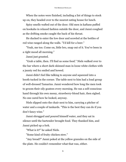When the notes were finished, including a list of things to stock up on, they headed over to the nearest eating house for lunch.

Spicy smells wafted out of the door. Old men in kaftans puffed on hookahs in relaxed fashion outside the door, and Janni coughed as the drifting smoke caught the back of his throat.

He ducked to enter the low door and scowled at the bottles of red wine ranged along the walls. "I'd kill for a beer."

"Yeah, me too. Come on, little bro, snap out of it. You've been in a right mood all morning."

Janni just grunted.

"Grab a table, then. I'll find us some food." Niels walked over to the bar where a short dark-skinned man in loose white clothes with a jaunty red fez smiled and bowed.

Janni didn't feel like talking to anyone and squeezed into a booth tucked in the corner. The table next to him had a loud group of well-dressed Tamarins. Janni wondered how long the men took to groom their oily goatees every morning. He ran a self-conscious hand through his own messy, strawberry-blond hair, then sighed. No one cared how he looked, anyway.

Niels slipped onto the chair next to him, carrying a pitcher of water and a couple of tankards. "This is the best they can do if you don't fancy wine."

Janni shrugged and poured himself water, and they sat in silence until the bartender brought food. They thanked him, and Janni picked up a fork.

"What is it?" he asked Niels.

"Some kind of fruity chicken stew."

"Any bread?" Janni poked at the yellow granules on the side of the plate. He couldn't remember what that was, either.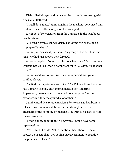Niels rolled his eyes and indicated the bartender returning with a basket of flatbread.

"That'll do, I guess." Janni dug into the meal, not convinced that fruit and meat really belonged on the same plate.

A snippet of conversation from the Tamarins in the next booth caught his ear.

"... heard it from a council vizier. The Grand Vizier's taking a ship up to Kamikan."

Janni glanced casually at them. The group of five sat close; the man who had just spoken bent forward.

A woman replied. "What does he hope to achieve? So a few dock workers were killed when a bomb went off in Pallexon. What's that to us?"

Janni raised his eyebrows at Niels, who pursed his lips and shuffled closer.

The first man spoke in a low voice. "The Pallexis think the bomb had Tamarin origins. They imprisoned a lot of Tamarins. Apparently, there was an arson attack to attempt to free the prisoners, but they recaptured a lot of them."

Janni winced. His rescue mission a few weeks ago had been to release Kara, an innocent Tamarin friend caught up in the aftermath of the bombing by mistake. He strained his ears to hear the conversation.

"I didn't know about that." A new voice. "Could have some repercussions."

"Yes, I think it could. Not to mention I hear there's been a protest up in Kamikan, petitioning our government to negotiate the prisoners' release."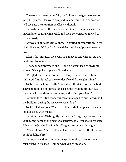The woman spoke again. "So, the Sultan has to get involved to keep the peace." Her voice dropped to a murmur. "I'm concerned it will escalate the situation needlessly, though."

Janni didn't catch the next sentence. One of the men called the bartender over for a wine refill, and their conversation turned to palace gossip.

A wave of guilt overcame Janni. He shifted uncomfortably in his chair. His mouthful of food turned dry, and he gulped some water down.

After a few minutes, the group of Tamarins left, without saying anything else of interest.

"That sounds pretty serious. I hope it doesn't lead to anything worse." Niels pulled a piece of bread apart.

"I'm glad Kara hadn't waited this long to be released." Janni muttered. "But it makes me wonder if we did the right thing."

Niels let out a long breath. "Honestly, I think it was for the best. They shouldn't be holding all those people without proof. It was inevitable it would cause problems, and it ain't your fault."

Janni nodded. "But the fact Simeon managed to burn down half the building during the rescue weren't ideal."

Niels rolled his eyes. "Yeah, well that's what happens when you let kids loose with magic."

Janni thumped Niels lightly on the arm. "Hey, they weren't that young. And some of the magic was pretty cool. You should've seen Elina in the jungle. She fought off a giant serpent with magic."

"Yeah, I know. You've told me, like, twenty times. I think you've got it bad, little bro."

Janni punched him on the arm again, harder, conscious of a flush rising in his face. "Dunno what you're on about."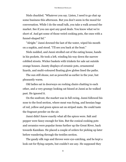Niels chuckled. "Whatever you say. Listen, I need to go chat up some business this afternoon. But you don't seem in the mood for conversation. While I do the small talk, you take a walk around the market. See if you can spot any good deals. You know what we're short of. And get some of those weird cooking pots, the ones with a funnel-shaped lid."

"Alright." Janni downed the last of the water, wiped his mouth on a napkin, and stood. "I'll see you back at the boat."

Niels nodded, and Janni strolled out of the eating house, hands in his pockets. He took a left, winding his way down the narrow cobbled streets. Wicker baskets with trinkets for sale sat outside orange houses. Jaunty displays of ceramic pots, ornamental lizards, and multi-coloured floating glow globes lined the paths.

The sun still shone, not as powerful as earlier in the year, but pleasantly warm.

Old ladies sat in doorways on rocking chairs chatting to each other, and a very grumpy looking cat hissed at Janni as he walked past. He ignored it.

On the seafront, the market was in full swing. Janni followed his nose to the food section, where meat was frying, and hessian bags of red, yellow and green spices sat on striped mats. He could taste the fragrant powder on the air.

Janni didn't know exactly what all the spices were. Salt and pepper were fancy enough for him. But the conical cooking pots and ceramics were popular items further up the Great River, back towards Kamikan. He placed a couple of orders for picking up later before wandering through the textiles section.

The gaudy silk rugs and throws were eye-catching, and he kept a look out for flying carpets, but couldn't see any. He supposed they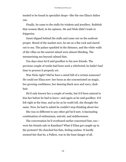tended to be found in specialist shops—like the one Elina's father ran.

Finally, he came to the stalls for trinkets and jewellery. Rubbish that women liked, in his opinion. He and Niels didn't trade in fripperies.

Janni slipped behind the stalls and came out on the seafront proper. Bored of the market now, he sat on a flat rock and stared out to sea. The palace sparkled in the distance, and the white walls of the villas on the nearest island were almost blinding. The mesmerising sea beyond calmed him.

Ten days since he'd said goodbye to his new friends. The previous couple of weeks had been such a whirlwind; he hadn't had time to process it properly yet.

Was Niels right? Did he have a mind full of a certain someone? He could see Elina now: her focus as she concentrated on magic, her growing confidence, her dancing black eyes and wavy, dark hair.

He'd only known her a couple of weeks, but it'd been natural to kiss her before he had to leave—and again as he said goodbye. It'd felt right at the time, and as far as he could tell, she thought the same. Now, he had to admit he couldn't stop thinking about her.

She was so different to any other girl he'd met. A fascinating combination of enthusiasm, naiveté, and stubbornness.

The conversation he'd overheard earlier concerned him, too were his friends safe in Kamikan? What if Elina got caught up in the protests? He clenched his fists, feeling useless. It hardly seemed fair that he, a Pallexi, was in the least danger of all.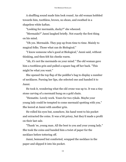A shuffling sound made him look round. An old woman hobbled towards him, toothless, brown, no shoes, and swathed in a shapeless white kaftan.

"Looking for mermaids, ducky?" she wheezed.

"Mermaids?" Janni laughed briefly. Not exactly the first thing on his mind.

"Oh yes. Mermaids. They pop up from time to time. Mainly to magical folks. Those what can do Biological."

"I know someone who's good at Biological," Janni said, without thinking, and then felt his cheeks warm.

"Ah, it's not the mermaids on your mind." The old woman gave him a toothless grin and pulled a square bag off her back. "This might be what you want."

She opened the top flap of the peddler's bag to display a number of necklaces. Pursing her lips, she selected one and handed it to Janni.

He took it, wondering what the old crone was up to. It was a tiny stone carving of a mermaid hung on a gold chain.

"Hematite. Lovely work. Yours for two rykals. Maybe your young lady could be tempted to come mermaid spotting with you." She leered at Janni with another grin.

He rolled his eyes but, somehow, his hand went to his pocket and extracted the coins. It was a bit pricey, but they'd made a profit on their last sale.

"Thank 'ee, young man. All the best to you and your young lady." She took the coins and handed him a twist of paper for the necklace before tottering off.

Janni, bemused but comforted, wrapped the necklace in the paper and slipped it into his pocket.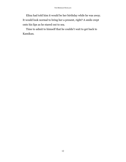Elina had told him it would be her birthday while he was away. It would look normal to bring her a present, right? A smile crept onto his lips as he stared out to sea.

Time to admit to himself that he couldn't wait to get back to Kamikan.